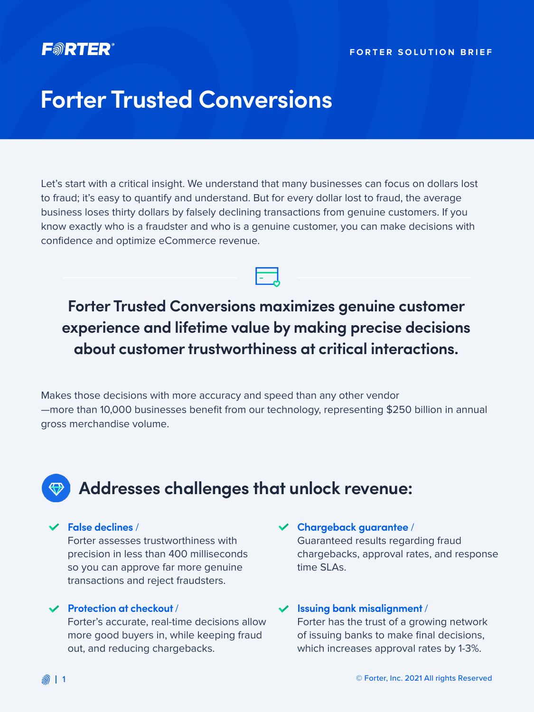### FORTER

#### **FORTER SOLUTION BRIEF**

# **Forter Trusted Conversions**

Let's start with a critical insight. We understand that many businesses can focus on dollars lost to fraud; it's easy to quantify and understand. But for every dollar lost to fraud, the average business loses thirty dollars by falsely declining transactions from genuine customers. If you know exactly who is a fraudster and who is a genuine customer, you can make decisions with confidence and optimize eCommerce revenue.

### **Forter Trusted Conversions maximizes genuine customer experience and lifetime value by making precise decisions about customer trustworthiness at critical interactions.**

Makes those decisions with more accuracy and speed than any other vendor —more than 10,000 businesses benefit from our technology, representing \$250 billion in annual gross merchandise volume.

## **Addresses challenges that unlock revenue:**

#### **False declines** /

Forter assesses trustworthiness with precision in less than 400 milliseconds so you can approve far more genuine transactions and reject fraudsters.

#### **Protection at checkout** /

Forter's accurate, real-time decisions allow more good buyers in, while keeping fraud out, and reducing chargebacks.

#### **Chargeback guarantee** /

Guaranteed results regarding fraud chargebacks, approval rates, and response time SLAs.

#### **Issuing bank misalignment** /

Forter has the trust of a growing network of issuing banks to make final decisions, which increases approval rates by 1-3%.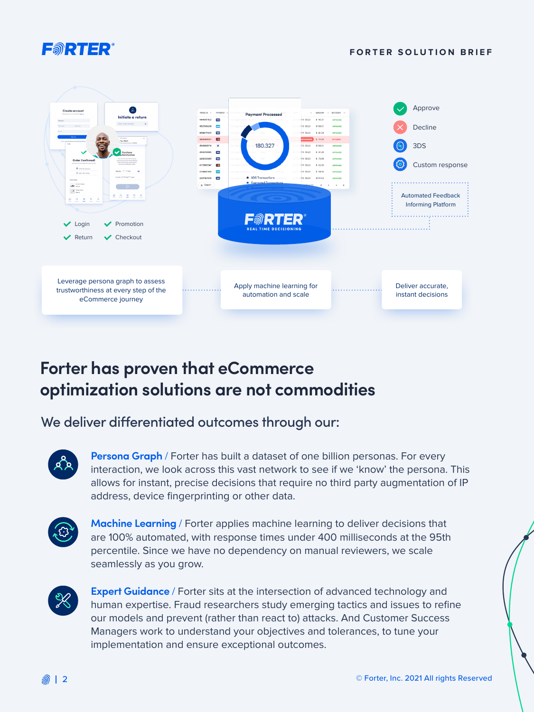

#### **FORTER SOLUTION BRIEF**



## **Forter has proven that eCommerce optimization solutions are not commodities**

### We deliver differentiated outcomes through our:



**Persona Graph** / Forter has built a dataset of one billion personas. For every interaction, we look across this vast network to see if we 'know' the persona. This allows for instant, precise decisions that require no third party augmentation of IP address, device fingerprinting or other data.



**Machine Learning** / Forter applies machine learning to deliver decisions that are 100% automated, with response times under 400 milliseconds at the 95th percentile. Since we have no dependency on manual reviewers, we scale seamlessly as you grow.



**Expert Guidance** / Forter sits at the intersection of advanced technology and human expertise. Fraud researchers study emerging tactics and issues to refine our models and prevent (rather than react to) attacks. And Customer Success Managers work to understand your objectives and tolerances, to tune your implementation and ensure exceptional outcomes.